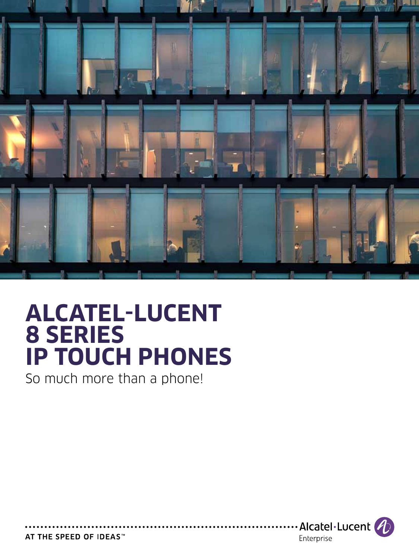

# **ALCATEL-LUCENT 8 series IP touch phones**

So much more than a phone!



AT THE SPEED OF IDEAS™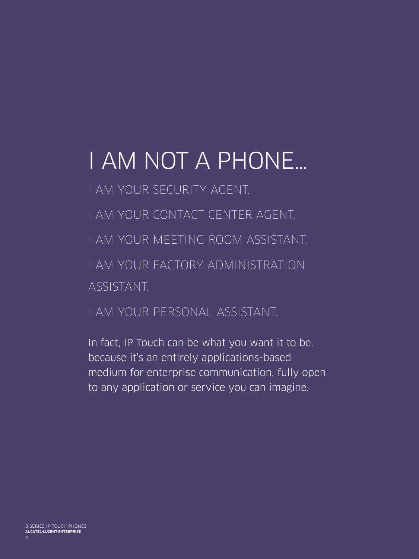# I am not a phone…

I am your security agent.

I am your contact center agent.

I am your meeting room assistant.

I am your factory administration assistant.

I am your personal assistant.

In fact, IP Touch can be what you want it to be, because it's an entirely applications-based medium for enterprise communication, fully open to any application or service you can imagine.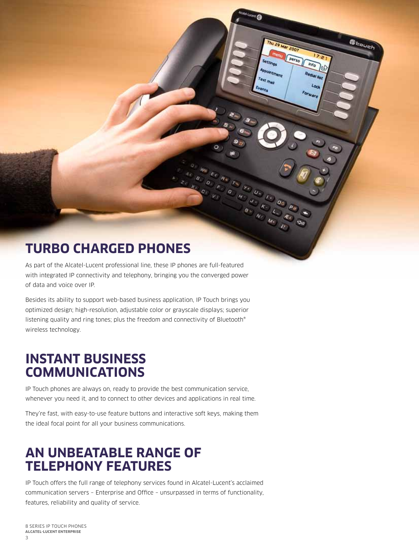# **TURBO CHARGED PHONES**

As part of the Alcatel-Lucent professional line, these IP phones are full-featured with integrated IP connectivity and telephony, bringing you the converged power of data and voice over IP.

**DEOU** 

Thu 29 Mar 2007

 $\overline{\mathcal{Q}_\Theta}$ 

Settings

et may

Perso

Besides its ability to support web-based business application, IP Touch brings you optimized design; high-resolution, adjustable color or grayscale displays; superior listening quality and ring tones; plus the freedom and connectivity of Bluetooth® wireless technology.

## **INSTANT BUSINESS COMMUNICATIONS**

IP Touch phones are always on, ready to provide the best communication service, whenever you need it, and to connect to other devices and applications in real time.

They're fast, with easy-to-use feature buttons and interactive soft keys, making them the ideal focal point for all your business communications.

# **AN UNBEATABLE RANGE OF TELEPHONY FEATURES**

IP Touch offers the full range of telephony services found in Alcatel-Lucent's acclaimed communication servers – Enterprise and Office – unsurpassed in terms of functionality, features, reliability and quality of service.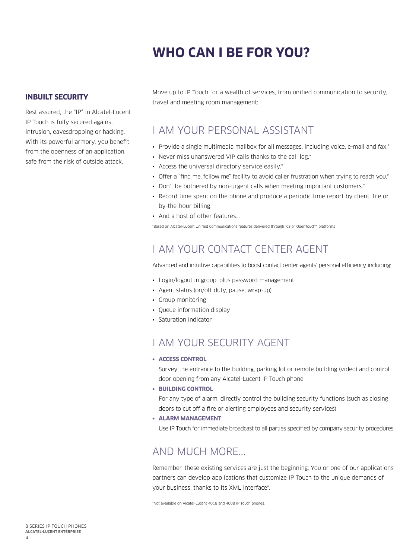# **Who can I be for you?**

#### **INBUILT SECURITY**

Rest assured, the "IP" in Alcatel-Lucent IP Touch is fully secured against intrusion, eavesdropping or hacking. With its powerful armory, you benefit from the openness of an application, safe from the risk of outside attack.

Move up to IP Touch for a wealth of services, from unified communication to security, travel and meeting room management:

### I AM YOUR PERSONAL ASSISTANT

- Provide a single multimedia mailbox for all messages, including voice, e-mail and fax.\*
- Never miss unanswered VIP calls thanks to the call log.\*
- Access the universal directory service easily.\*
- Offer a "find me, follow me" facility to avoid caller frustration when trying to reach you.\*
- Don't be bothered by non-urgent calls when meeting important customers.\*
- • Record time spent on the phone and produce a periodic time report by client, file or by-the-hour billing.
- And a host of other features...

\*Based on Alcatel-Lucent Unified Communications features delivered through ICS or OpenTouch™ platforms

### I AM YOUR CONTACT CENTER AGENT

Advanced and intuitive capabilities to boost contact center agents' personal efficiency including:

- Login/logout in group, plus password management
- • Agent status (on/off duty, pause, wrap-up)
- • Group monitoring
- Oueue information display
- • Saturation indicator

### I AM YOUR SECURITY AGENT

**• Access control**

Survey the entrance to the building, parking lot or remote building (video) and control door opening from any Alcatel-Lucent IP Touch phone

**• Building control**

For any type of alarm, directly control the building security functions (such as closing doors to cut off a fire or alerting employees and security services)

**• Alarm management**

Use IP Touch for immediate broadcast to all parties specified by company security procedures

### AND MUCH MORE...

Remember, these existing services are just the beginning: You or one of our applications partners can develop applications that customize IP Touch to the unique demands of your business, thanks to its XML interface\*.

\*Not available on Alcatel-Lucent 4018 and 4008 IP Touch phones.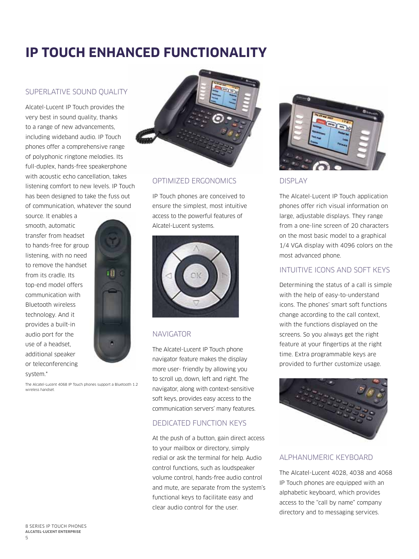# **IP Touch enhanced functionality**

#### SUPERLATIVE SOUND QUALITY

Alcatel-Lucent IP Touch provides the very best in sound quality, thanks to a range of new advancements, including wideband audio. IP Touch phones offer a comprehensive range of polyphonic ringtone melodies. Its full-duplex, hands-free speakerphone with acoustic echo cancellation, takes listening comfort to new levels. IP Touch has been designed to take the fuss out of communication, whatever the sound

source. It enables a smooth, automatic transfer from headset to hands-free for group listening, with no need to remove the handset from its cradle. Its top-end model offers communication with Bluetooth wireless technology. And it provides a built-in audio port for the use of a headset, additional speaker or teleconferencing system.\*



The Alcatel-Lucent 4068 IP Touch phones support a Bluetooth 1.2 wireless handset



#### OPTIMIZED ERGONOMICS

IP Touch phones are conceived to ensure the simplest, most intuitive access to the powerful features of Alcatel-Lucent systems.



#### **NAVIGATOR**

The Alcatel-Lucent IP Touch phone navigator feature makes the display more user- friendly by allowing you to scroll up, down, left and right. The navigator, along with context-sensitive soft keys, provides easy access to the communication servers' many features.

#### DEDICATED FUNCTION KEYS

At the push of a button, gain direct access to your mailbox or directory, simply redial or ask the terminal for help. Audio control functions, such as loudspeaker volume control, hands-free audio control and mute, are separate from the system's functional keys to facilitate easy and clear audio control for the user.



#### DISPLAY

The Alcatel-Lucent IP Touch application phones offer rich visual information on large, adjustable displays. They range from a one-line screen of 20 characters on the most basic model to a graphical 1/4 VGA display with 4096 colors on the most advanced phone.

#### INTUITIVE ICONS AND SOFT KEYS

Determining the status of a call is simple with the help of easy-to-understand icons. The phones' smart soft functions change according to the call context, with the functions displayed on the screens. So you always get the right feature at your fingertips at the right time. Extra programmable keys are provided to further customize usage.



#### ALPHANUMERIC KEYBOARD

The Alcatel-Lucent 4028, 4038 and 4068 IP Touch phones are equipped with an alphabetic keyboard, which provides access to the "call by name" company directory and to messaging services.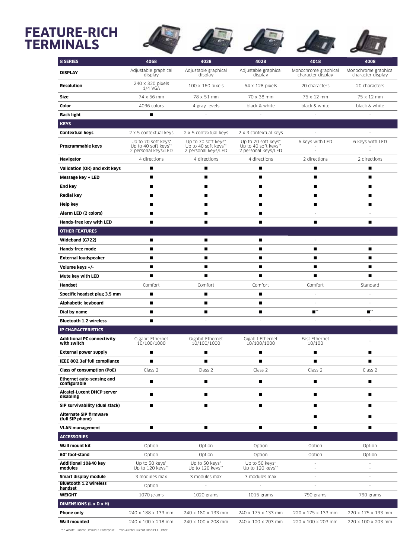### **Feature-rich terminals**

| <b>INAL</b>                                       |                                                                    |                                                                    |                                                                    |                                           |                                           |
|---------------------------------------------------|--------------------------------------------------------------------|--------------------------------------------------------------------|--------------------------------------------------------------------|-------------------------------------------|-------------------------------------------|
| <b>8 SERIES</b>                                   | 4068                                                               | 4038                                                               | 4028                                                               | 4018                                      | 4008                                      |
| <b>DISPLAY</b>                                    | Adjustable graphical<br>display                                    | Adjustable graphical<br>display                                    | Adjustable graphical<br>display                                    | Monochrome graphical<br>character display | Monochrome graphical<br>character display |
| <b>Resolution</b>                                 | 240 x 320 pixels<br>1/4 VGA                                        | 100 x 160 pixels                                                   | 64 x 128 pixels                                                    | 20 characters                             | 20 characters                             |
| Size                                              | 74 x 56 mm                                                         | 78 x 51 mm                                                         | 70 x 38 mm                                                         | 75 x 12 mm                                | 75 x 12 mm                                |
| Color                                             | 4096 colors                                                        | 4 gray levels                                                      | black & white                                                      | black & white                             | black & white                             |
| <b>Back light</b>                                 | п                                                                  |                                                                    | $\ddot{\phantom{1}}$                                               | $\overline{\phantom{a}}$                  |                                           |
| <b>KEYS</b>                                       |                                                                    |                                                                    |                                                                    |                                           |                                           |
| <b>Contextual keys</b>                            | 2 x 5 contextual keys                                              | 2 x 5 contextual keys                                              | 2 x 3 contextual keys                                              | $\overline{\phantom{a}}$                  |                                           |
| Programmable keys                                 | Up to 70 soft keys*<br>Up to 40 soft keys**<br>2 personal keys/LED | Up to 70 soft keys*<br>Up to 40 soft keys**<br>2 personal keys/LED | Up to 70 soft keys*<br>Up to 40 soft keys**<br>2 personal keys/LED | 6 keys with LED                           | 6 keys with LED                           |
| Navigator                                         | 4 directions                                                       | 4 directions                                                       | 4 directions                                                       | 2 directions                              | 2 directions                              |
| Validation (OK) and exit keys                     | п                                                                  | п                                                                  | п                                                                  | п                                         | п                                         |
| Message key + LED                                 | п                                                                  | п                                                                  | п                                                                  | п                                         | п                                         |
| End key                                           | П                                                                  | П                                                                  | п                                                                  | п                                         | п                                         |
| <b>Redial key</b>                                 | П                                                                  | ■                                                                  | п                                                                  | п                                         | п                                         |
| <b>Help kev</b>                                   | п                                                                  | ■                                                                  | п                                                                  | п                                         | п                                         |
| Alarm LED (2 colors)                              | П                                                                  | п                                                                  | п                                                                  |                                           |                                           |
| Hands-free key with LED                           | п                                                                  | ■                                                                  | п                                                                  | П                                         |                                           |
| <b>OTHER FEATURES</b>                             |                                                                    |                                                                    |                                                                    |                                           |                                           |
| Wideband (G722)                                   | ■                                                                  | ■                                                                  | п                                                                  |                                           |                                           |
| Hands-free mode                                   | п                                                                  | п                                                                  | п                                                                  | П                                         | п                                         |
| <b>External loudspeaker</b>                       | ■                                                                  | ▬                                                                  | ▬                                                                  | п                                         |                                           |
| Volume keys +/-                                   | п                                                                  | ■                                                                  | п                                                                  | ■                                         | ■                                         |
| Mute key with LED                                 | п                                                                  | п                                                                  | п                                                                  | п                                         | ■                                         |
| Handset                                           | Comfort                                                            | Comfort                                                            | Comfort                                                            | Comfort                                   | Standard                                  |
| Specific headset plug 3.5 mm                      | п                                                                  | п                                                                  | п                                                                  |                                           |                                           |
| Alphabetic keyboard                               | п                                                                  | п                                                                  | п                                                                  | ×,                                        | ÷.                                        |
| Dial by name                                      | п                                                                  | п                                                                  | п                                                                  | $\blacksquare^{\star\star}$               | $\blacksquare^{\star\star}$               |
| <b>Bluetooth 1.2 wireless</b>                     | п                                                                  | ÷                                                                  | $\overline{a}$                                                     | ×,                                        | ÷,                                        |
| <b>IP CHARACTERISTICS</b>                         |                                                                    |                                                                    |                                                                    |                                           |                                           |
| <b>Additional PC connectivity</b><br>with switch  | Gigabit Ethernet<br>10/100/1000                                    | Gigabit Ethernet<br>10/100/1000                                    | Gigabit Ethernet<br>10/100/1000                                    | Fast Ethernet<br>10/100                   |                                           |
| <b>External power supply</b>                      | п                                                                  | п                                                                  | П                                                                  | П                                         | п                                         |
| IEEE 802.3af full compliance                      | ■                                                                  | П                                                                  | п                                                                  | п                                         | ■                                         |
| Class of consumption (PoE)                        | Class 2                                                            | Class 2                                                            | Class 2                                                            | Class 2                                   | Class 2                                   |
| Ethernet auto-sensing and<br>configurable         | п                                                                  | п                                                                  | п                                                                  | п                                         | п                                         |
| Alcatel-Lucent DHCP server<br>disabling           | п                                                                  | п                                                                  | П                                                                  | п                                         | п                                         |
| SIP survivability (dual stack)                    | ■                                                                  | п                                                                  | п                                                                  | ■                                         | п                                         |
| <b>Alternate SIP firmware</b><br>(full SIP phone) |                                                                    |                                                                    |                                                                    | ■                                         | ■                                         |
| <b>VLAN management</b>                            | ■                                                                  | П                                                                  | П                                                                  | ■                                         | ■                                         |
| <b>ACCESSORIES</b>                                |                                                                    |                                                                    |                                                                    |                                           |                                           |
| Wall mount kit                                    | Option                                                             | Option                                                             | Option                                                             | Option                                    | Option                                    |
| 60° foot-stand                                    | Option                                                             | Option                                                             | Option                                                             | Option                                    | Option                                    |
| Additional 10&40 key<br>modules                   | Up to 50 keys*<br>Up to 120 keys**                                 | Up to 50 keys*<br>Up to 120 keys**                                 | Up to 50 keys*<br>Up to 120 keys**                                 |                                           |                                           |
| Smart display module                              | 3 modules max                                                      | 3 modules max                                                      | 3 modules max                                                      |                                           |                                           |
| <b>Bluetooth 1.2 wireless</b><br>handset          | Option                                                             |                                                                    |                                                                    |                                           |                                           |
| <b>WEIGHT</b>                                     | 1070 grams                                                         | 1020 grams                                                         | 1015 grams                                                         | 790 grams                                 | 790 grams                                 |
| <b>DIMENSIONS (L x D x H)</b>                     |                                                                    |                                                                    |                                                                    |                                           |                                           |
| Phone only                                        | 240 x 188 x 133 mm                                                 | 240 x 180 x 133 mm                                                 | 240 x 175 x 133 mm                                                 | 220 x 175 x 133 mm                        | 220 x 175 x 133 mm                        |
| <b>Wall mounted</b>                               | 240 x 100 x 218 mm                                                 | 240 x 100 x 208 mm                                                 | 240 x 100 x 203 mm                                                 | 220 x 100 x 203 mm                        | 220 x 100 x 203 mm                        |

\*on Alcatel-Lucent OmniPCX Enterprise \*\*on Alcatel-Lucent OmniPCX Office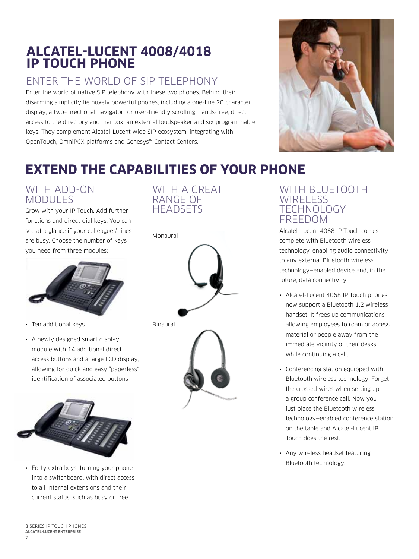## **Alcatel-Lucent 4008/4018 IP Touch phone**

### Enter the world of SIP telephony

Enter the world of native SIP telephony with these two phones. Behind their disarming simplicity lie hugely powerful phones, including a one-line 20 character display; a two-directional navigator for user-friendly scrolling; hands-free, direct access to the directory and mailbox; an external loudspeaker and six programmable keys. They complement Alcatel-Lucent wide SIP ecosystem, integrating with OpenTouch, OmniPCX platforms and Genesys™ Contact Centers.



# **EXTEND THE CAPABILITIES OF YOUR PHONE**

### WITH ADD-ON MODULES

Grow with your IP Touch. Add further functions and direct-dial keys. You can see at a glance if your colleagues' lines are busy. Choose the number of keys you need from three modules:



- • Ten additional keys
- A newly designed smart display module with 14 additional direct access buttons and a large LCD display, allowing for quick and easy "paperless" identification of associated buttons



• Forty extra keys, turning your phone into a switchboard, with direct access to all internal extensions and their current status, such as busy or free

### WITH A GREAT RANGE OF **HEADSETS**



#### with BLUETOOTH **WIRELESS TECHNOLOGY** freedom

Alcatel-Lucent 4068 IP Touch comes complete with Bluetooth wireless technology, enabling audio connectivity to any external Bluetooth wireless technology—enabled device and, in the future, data connectivity.

- Alcatel-Lucent 4068 IP Touch phones now support a Bluetooth 1.2 wireless handset: It frees up communications, allowing employees to roam or access material or people away from the immediate vicinity of their desks while continuing a call.
- • Conferencing station equipped with Bluetooth wireless technology: Forget the crossed wires when setting up a group conference call. Now you just place the Bluetooth wireless technology—enabled conference station on the table and Alcatel-Lucent IP Touch does the rest.
- Any wireless headset featuring Bluetooth technology.

8 series IP Touch phones **Alcatel-Lucent enterprise**

7